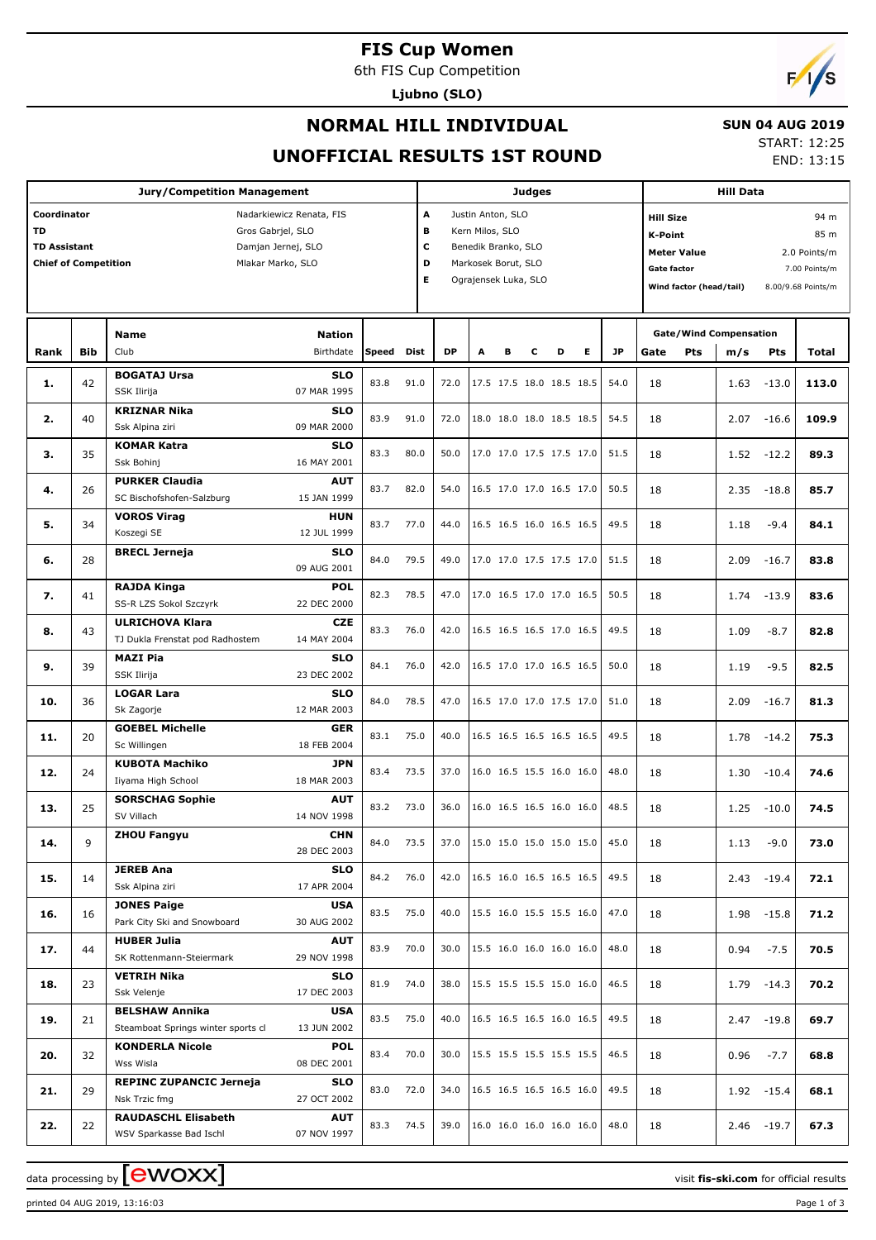# **FIS Cup Women**

6th FIS Cup Competition

**Ljubno (SLO)**



## **NORMAL HILL INDIVIDUAL**

#### **SUN 04 AUG 2019**

## **UNOFFICIAL RESULTS 1ST ROUND**

START: 12:25 END: 13:15

| <b>Jury/Competition Management</b>                                                                                                                                         |            |                                                                              |                                         |              |                       |              |                                                                                                            |   | <b>Judges</b> |                                                      | <b>Hill Data</b> |                                                                                                           |      |                         |                                                                     |
|----------------------------------------------------------------------------------------------------------------------------------------------------------------------------|------------|------------------------------------------------------------------------------|-----------------------------------------|--------------|-----------------------|--------------|------------------------------------------------------------------------------------------------------------|---|---------------|------------------------------------------------------|------------------|-----------------------------------------------------------------------------------------------------------|------|-------------------------|---------------------------------------------------------------------|
| Coordinator<br>Nadarkiewicz Renata, FIS<br><b>TD</b><br>Gros Gabrjel, SLO<br><b>TD Assistant</b><br>Damjan Jernej, SLO<br><b>Chief of Competition</b><br>Mlakar Marko, SLO |            |                                                                              |                                         |              | A<br>в<br>с<br>D<br>Е |              | Justin Anton, SLO<br>Kern Milos, SLO<br>Benedik Branko, SLO<br>Markosek Borut, SLO<br>Ograjensek Luka, SLO |   |               |                                                      |                  | <b>Hill Size</b><br><b>K-Point</b><br><b>Meter Value</b><br><b>Gate factor</b><br>Wind factor (head/tail) |      |                         | 94 m<br>85 m<br>2.0 Points/m<br>7.00 Points/m<br>8.00/9.68 Points/m |
| Rank                                                                                                                                                                       | <b>Bib</b> | Name<br>Club                                                                 | <b>Nation</b><br>Birthdate              | Speed        | Dist                  | <b>DP</b>    | A                                                                                                          | в | с             | Е<br>D                                               | <b>JP</b>        | <b>Gate/Wind Compensation</b><br>Pts<br>Gate                                                              | m/s  | Pts                     | Total                                                               |
| 1.                                                                                                                                                                         | 42         | <b>BOGATAJ Ursa</b><br>SSK Ilirija                                           | <b>SLO</b><br>07 MAR 1995               | 83.8         | 91.0                  | 72.0         |                                                                                                            |   |               | 17.5 17.5 18.0 18.5 18.5                             | 54.0             | 18                                                                                                        | 1.63 | $-13.0$                 | 113.0                                                               |
| 2.                                                                                                                                                                         | 40         | <b>KRIZNAR Nika</b><br>Ssk Alpina ziri                                       | <b>SLO</b><br>09 MAR 2000               | 83.9         | 91.0                  | 72.0         |                                                                                                            |   |               | 18.0 18.0 18.0 18.5 18.5                             | 54.5             | 18                                                                                                        | 2.07 | $-16.6$                 | 109.9                                                               |
| з.                                                                                                                                                                         | 35         | <b>KOMAR Katra</b><br>Ssk Bohinj                                             | <b>SLO</b><br>16 MAY 2001               | 83.3         | 80.0                  | 50.0         |                                                                                                            |   |               | 17.0 17.0 17.5 17.5 17.0                             | 51.5             | 18                                                                                                        | 1.52 | $-12.2$                 | 89.3                                                                |
| 4.                                                                                                                                                                         | 26         | <b>PURKER Claudia</b><br>SC Bischofshofen-Salzburg                           | <b>AUT</b><br>15 JAN 1999               | 83.7         | 82.0                  | 54.0         |                                                                                                            |   |               | 16.5 17.0 17.0 16.5 17.0                             | 50.5             | 18                                                                                                        | 2.35 | $-18.8$                 | 85.7                                                                |
| 5.                                                                                                                                                                         | 34         | <b>VOROS Virag</b><br>Koszegi SE                                             | <b>HUN</b><br>12 JUL 1999               | 83.7         | 77.0                  | 44.0         |                                                                                                            |   |               | 16.5 16.5 16.0 16.5 16.5                             | 49.5             | 18                                                                                                        | 1.18 | $-9.4$                  | 84.1                                                                |
| 6.                                                                                                                                                                         | 28         | <b>BRECL Jerneja</b>                                                         | <b>SLO</b><br>09 AUG 2001               | 84.0         | 79.5                  | 49.0         |                                                                                                            |   |               | 17.0 17.0 17.5 17.5 17.0                             | 51.5             | 18                                                                                                        | 2.09 | $-16.7$                 | 83.8                                                                |
| 7.                                                                                                                                                                         | 41         | <b>RAJDA Kinga</b><br>SS-R LZS Sokol Szczyrk                                 | <b>POL</b><br>22 DEC 2000               | 82.3         | 78.5                  | 47.0         |                                                                                                            |   |               | 17.0 16.5 17.0 17.0 16.5                             | 50.5             | 18                                                                                                        | 1.74 | $-13.9$                 | 83.6                                                                |
| 8.                                                                                                                                                                         | 43         | <b>ULRICHOVA Klara</b><br>TJ Dukla Frenstat pod Radhostem<br><b>MAZI Pia</b> | <b>CZE</b><br>14 MAY 2004<br><b>SLO</b> | 83.3         | 76.0                  | 42.0         |                                                                                                            |   |               | 16.5 16.5 16.5 17.0 16.5                             | 49.5             | 18                                                                                                        | 1.09 | $-8.7$                  | 82.8                                                                |
| 9.                                                                                                                                                                         | 39         | SSK Ilirija<br><b>LOGAR Lara</b>                                             | 23 DEC 2002<br><b>SLO</b>               | 84.1         | 76.0                  | 42.0         |                                                                                                            |   |               | 16.5 17.0 17.0 16.5 16.5                             | 50.0             | 18                                                                                                        | 1.19 | $-9.5$                  | 82.5                                                                |
| 10.                                                                                                                                                                        | 36         | Sk Zagorje<br><b>GOEBEL Michelle</b>                                         | 12 MAR 2003<br><b>GER</b>               | 84.0         | 78.5                  | 47.0         |                                                                                                            |   |               | 16.5 17.0 17.0 17.5 17.0                             | 51.0             | 18                                                                                                        | 2.09 | $-16.7$                 | 81.3                                                                |
| 11.                                                                                                                                                                        | 20         | Sc Willingen<br><b>KUBOTA Machiko</b>                                        | 18 FEB 2004<br><b>JPN</b>               | 83.1         | 75.0                  | 40.0         |                                                                                                            |   |               | 16.5 16.5 16.5 16.5 16.5                             | 49.5             | 18                                                                                                        | 1.78 | $-14.2$                 | 75.3                                                                |
| 12.                                                                                                                                                                        | 24         | Iiyama High School<br><b>SORSCHAG Sophie</b>                                 | 18 MAR 2003<br><b>AUT</b>               | 83.4         | 73.5                  | 37.0         |                                                                                                            |   |               | 16.0 16.5 15.5 16.0 16.0                             | 48.0             | 18                                                                                                        | 1.30 | $-10.4$                 | 74.6                                                                |
| 13.                                                                                                                                                                        | 25         | SV Villach<br><b>ZHOU Fangyu</b>                                             | 14 NOV 1998<br><b>CHN</b>               | 83.2         | 73.0                  | 36.0         |                                                                                                            |   |               | 16.0 16.5 16.5 16.0 16.0                             | 48.5             | 18                                                                                                        | 1.25 | $-10.0$                 | 74.5                                                                |
| 14.<br>15.                                                                                                                                                                 | 9<br>14    | <b>JEREB Ana</b>                                                             | 28 DEC 2003<br>SLO                      | 84.0<br>84.2 | 73.5<br>76.0          | 37.0<br>42.0 |                                                                                                            |   |               | 15.0 15.0 15.0 15.0 15.0<br>16.5 16.0 16.5 16.5 16.5 | 45.0<br>49.5     | 18<br>18                                                                                                  | 1.13 | $-9.0$<br>$2.43 - 19.4$ | 73.0<br>72.1                                                        |
| 16.                                                                                                                                                                        | 16         | Ssk Alpina ziri<br><b>JONES Paige</b>                                        | 17 APR 2004<br><b>USA</b>               | 83.5         | 75.0                  | 40.0         |                                                                                                            |   |               | 15.5 16.0 15.5 15.5 16.0                             | 47.0             | 18                                                                                                        | 1.98 | $-15.8$                 | 71.2                                                                |
| 17.                                                                                                                                                                        | 44         | Park City Ski and Snowboard<br><b>HUBER Julia</b>                            | 30 AUG 2002<br><b>AUT</b>               | 83.9         | 70.0                  | 30.0         |                                                                                                            |   |               | 15.5 16.0 16.0 16.0 16.0                             | 48.0             | 18                                                                                                        | 0.94 | $-7.5$                  | 70.5                                                                |
| 18.                                                                                                                                                                        | 23         | SK Rottenmann-Steiermark<br><b>VETRIH Nika</b>                               | 29 NOV 1998<br><b>SLO</b>               | 81.9         | 74.0                  | 38.0         |                                                                                                            |   |               | 15.5 15.5 15.5 15.0 16.0                             | 46.5             | 18                                                                                                        | 1.79 | $-14.3$                 | 70.2                                                                |
| 19.                                                                                                                                                                        | 21         | Ssk Velenje<br><b>BELSHAW Annika</b>                                         | 17 DEC 2003<br><b>USA</b>               | 83.5         | 75.0                  | 40.0         |                                                                                                            |   |               | 16.5 16.5 16.5 16.0 16.5                             | 49.5             | 18                                                                                                        | 2.47 | $-19.8$                 | 69.7                                                                |
| 20.                                                                                                                                                                        | 32         | Steamboat Springs winter sports cl<br><b>KONDERLA Nicole</b>                 | 13 JUN 2002<br>POL                      | 83.4         | 70.0                  | 30.0         |                                                                                                            |   |               | 15.5 15.5 15.5 15.5 15.5                             | 46.5             | 18                                                                                                        | 0.96 | $-7.7$                  | 68.8                                                                |
| 21.                                                                                                                                                                        | 29         | Wss Wisla<br><b>REPINC ZUPANCIC Jerneja</b>                                  | 08 DEC 2001<br><b>SLO</b>               | 83.0         | 72.0                  | 34.0         |                                                                                                            |   |               | 16.5 16.5 16.5 16.5 16.0                             | 49.5             | 18                                                                                                        |      | $1.92 - 15.4$           | 68.1                                                                |
| 22.                                                                                                                                                                        | 22         | Nsk Trzic fmg<br><b>RAUDASCHL Elisabeth</b><br>WSV Sparkasse Bad Ischl       | 27 OCT 2002<br>AUT<br>07 NOV 1997       | 83.3         | 74.5                  | 39.0         |                                                                                                            |   |               | 16.0 16.0 16.0 16.0 16.0                             | 48.0             | 18                                                                                                        |      | $2.46 - 19.7$           | 67.3                                                                |

data processing by **CWOXX** and the set of the set of the set of the set of the set of the set of the set of the set of the set of the set of the set of the set of the set of the set of the set of the set of the set of the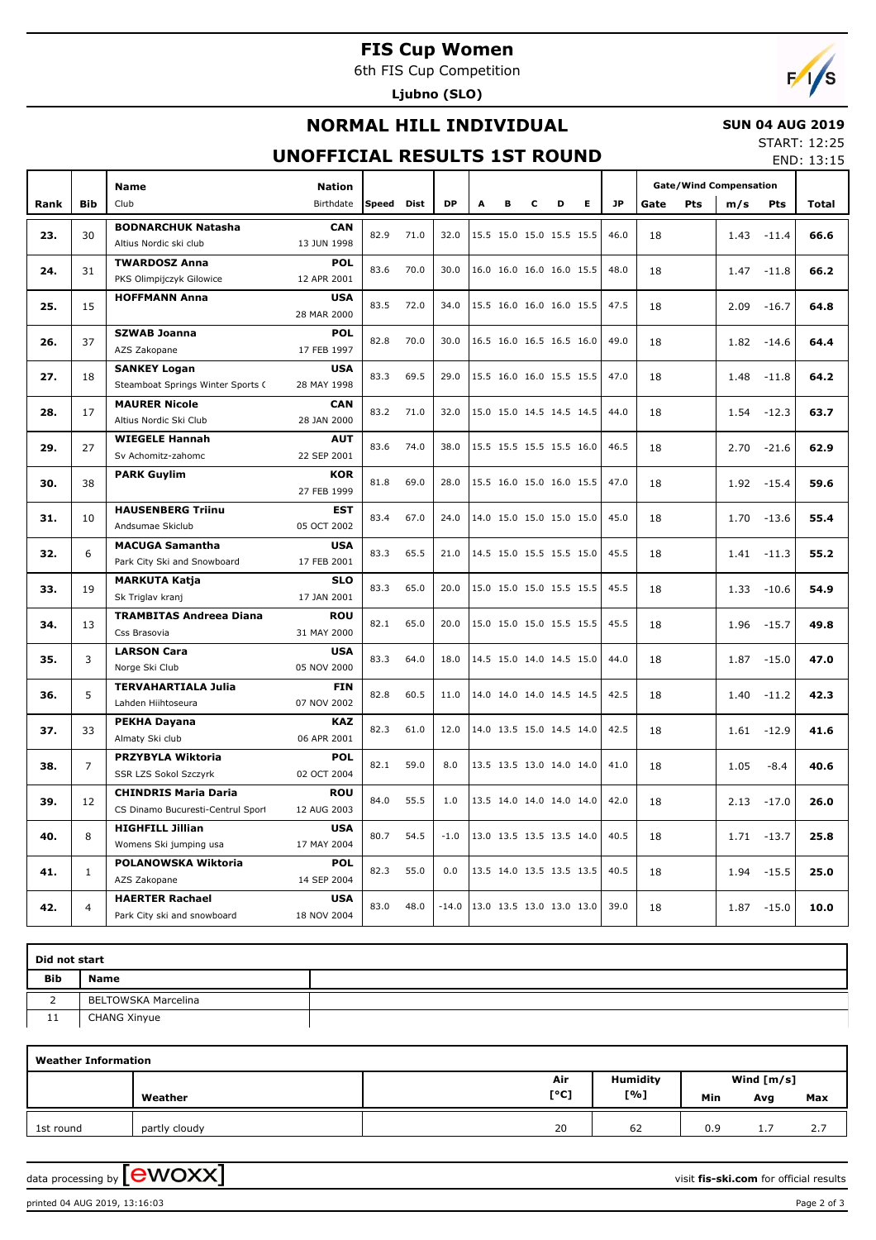# **FIS Cup Women**

6th FIS Cup Competition

**Ljubno (SLO)**

# $F/1/s$

# **NORMAL HILL INDIVIDUAL**

#### **SUN 04 AUG 2019** START: 12:25

## **UNOFFICIAL RESULTS 1ST ROUND**

END: 13:15

|      |                | <b>Name</b>                                       | <b>Nation</b>             |              |             |           |   |   |   |                          |    |           |      | <b>Gate/Wind Compensation</b> |      |                 |                                                                                                                              |
|------|----------------|---------------------------------------------------|---------------------------|--------------|-------------|-----------|---|---|---|--------------------------|----|-----------|------|-------------------------------|------|-----------------|------------------------------------------------------------------------------------------------------------------------------|
| Rank | <b>Bib</b>     | Club                                              | Birthdate                 | <b>Speed</b> | <b>Dist</b> | <b>DP</b> | A | в | с | D                        | E. | <b>JP</b> | Gate | Pts                           | m/s  | Pts             | Total                                                                                                                        |
|      |                | <b>BODNARCHUK Natasha</b>                         | <b>CAN</b>                |              |             |           |   |   |   |                          |    |           |      |                               |      |                 |                                                                                                                              |
| 23.  | 30             | Altius Nordic ski club                            | 13 JUN 1998               | 82.9         | 71.0        | 32.0      |   |   |   | 15.5 15.0 15.0 15.5 15.5 |    | 46.0      | 18   |                               | 1.43 | $-11.4$         |                                                                                                                              |
|      |                | <b>TWARDOSZ Anna</b>                              | <b>POL</b>                | 83.6         | 70.0        | 30.0      |   |   |   | 16.0 16.0 16.0 16.0 15.5 |    | 48.0      |      |                               |      |                 |                                                                                                                              |
| 24.  | 31             | PKS Olimpijczyk Gilowice                          | 12 APR 2001               |              |             |           |   |   |   |                          |    |           | 18   |                               | 1.47 | $-11.8$         |                                                                                                                              |
| 25.  | 15             | <b>HOFFMANN Anna</b>                              | <b>USA</b><br>28 MAR 2000 | 83.5         | 72.0        | 34.0      |   |   |   | 15.5 16.0 16.0 16.0 15.5 |    | 47.5      | 18   |                               | 2.09 | $-16.7$         | 64.8                                                                                                                         |
|      |                | <b>SZWAB Joanna</b>                               | <b>POL</b>                | 82.8         | 70.0        | 30.0      |   |   |   |                          |    | 49.0      |      |                               |      |                 |                                                                                                                              |
| 26.  | 37             | AZS Zakopane                                      | 17 FEB 1997               |              |             |           |   |   |   | 16.5 16.0 16.5 16.5 16.0 |    |           | 18   |                               | 1.82 | $-14.6$         |                                                                                                                              |
| 27.  | 18             | <b>SANKEY Logan</b>                               | <b>USA</b>                | 83.3         | 69.5        | 29.0      |   |   |   | 15.5 16.0 16.0 15.5 15.5 |    | 47.0      | 18   |                               | 1.48 | $-11.8$         |                                                                                                                              |
|      |                | Steamboat Springs Winter Sports C                 | 28 MAY 1998               |              |             |           |   |   |   |                          |    |           |      |                               |      |                 |                                                                                                                              |
| 28.  | 17             | <b>MAURER Nicole</b>                              | CAN                       | 83.2         | 71.0        | 32.0      |   |   |   | 15.0 15.0 14.5 14.5 14.5 |    | 44.0      | 18   |                               | 1.54 | $-12.3$         |                                                                                                                              |
|      |                | Altius Nordic Ski Club                            | 28 JAN 2000               |              |             |           |   |   |   |                          |    |           |      |                               |      |                 |                                                                                                                              |
| 29.  | 27             | <b>WIEGELE Hannah</b>                             | <b>AUT</b>                | 83.6         | 74.0        | 38.0      |   |   |   | 15.5 15.5 15.5 15.5 16.0 |    | 46.5      | 18   |                               | 2.70 | $-21.6$<br>62.9 |                                                                                                                              |
|      |                | Sv Achomitz-zahomc                                | 22 SEP 2001               |              |             |           |   |   |   |                          |    |           |      |                               |      |                 |                                                                                                                              |
| 30.  | 38             | <b>PARK Guylim</b>                                | <b>KOR</b>                | 81.8         | 69.0        | 28.0      |   |   |   | 15.5 16.0 15.0 16.0 15.5 |    | 47.0      | 18   |                               | 1.92 | $-15.4$         | 59.6                                                                                                                         |
|      |                |                                                   | 27 FEB 1999               |              |             |           |   |   |   |                          |    |           |      |                               |      |                 | 66.6<br>66.2<br>64.4<br>64.2<br>63.7<br>55.4<br>55.2<br>54.9<br>49.8<br>47.0<br>42.3<br>41.6<br>40.6<br>26.0<br>25.8<br>25.0 |
| 31.  | 10             | <b>HAUSENBERG Triinu</b>                          | <b>EST</b>                | 83.4         | 67.0        | 24.0      |   |   |   | 14.0 15.0 15.0 15.0 15.0 |    | 45.0      | 18   |                               | 1.70 | $-13.6$         |                                                                                                                              |
|      |                | Andsumae Skiclub                                  | 05 OCT 2002               |              |             |           |   |   |   |                          |    |           |      |                               |      |                 |                                                                                                                              |
| 32.  | 6              | <b>MACUGA Samantha</b>                            | <b>USA</b>                | 83.3         | 65.5        | 21.0      |   |   |   | 14.5 15.0 15.5 15.5 15.0 |    | 45.5      | 18   |                               | 1.41 | $-11.3$         |                                                                                                                              |
|      |                | Park City Ski and Snowboard                       | 17 FEB 2001               |              |             |           |   |   |   |                          |    |           |      |                               |      |                 |                                                                                                                              |
| 33.  | 19             | <b>MARKUTA Katja</b>                              | <b>SLO</b>                | 83.3         | 65.0        | 20.0      |   |   |   | 15.0 15.0 15.0 15.5 15.5 |    | 45.5      | 18   |                               | 1.33 | $-10.6$         |                                                                                                                              |
|      |                | Sk Triglav kranj                                  | 17 JAN 2001               |              |             |           |   |   |   |                          |    |           |      |                               |      |                 |                                                                                                                              |
| 34.  | 13             | <b>TRAMBITAS Andreea Diana</b>                    | <b>ROU</b>                | 82.1         | 65.0        | 20.0      |   |   |   | 15.0 15.0 15.0 15.5 15.5 |    | 45.5      | 18   |                               | 1.96 | $-15.7$         |                                                                                                                              |
|      |                | Css Brasovia                                      | 31 MAY 2000               |              |             |           |   |   |   |                          |    |           |      |                               |      |                 |                                                                                                                              |
| 35.  | 3              | <b>LARSON Cara</b>                                | <b>USA</b>                | 83.3         | 64.0        | 18.0      |   |   |   | 14.5 15.0 14.0 14.5 15.0 |    | 44.0      | 18   |                               | 1.87 | $-15.0$         |                                                                                                                              |
|      |                | Norge Ski Club                                    | 05 NOV 2000               |              |             |           |   |   |   |                          |    |           |      |                               |      |                 |                                                                                                                              |
| 36.  | 5              | <b>TERVAHARTIALA Julia</b>                        | <b>FIN</b>                | 82.8         | 60.5        | 11.0      |   |   |   | 14.0 14.0 14.0 14.5 14.5 |    | 42.5      | 18   |                               | 1.40 | $-11.2$         |                                                                                                                              |
|      |                | Lahden Hiihtoseura                                | 07 NOV 2002               |              |             |           |   |   |   |                          |    |           |      |                               |      |                 |                                                                                                                              |
| 37.  | 33             | <b>PEKHA Dayana</b><br>Almaty Ski club            | <b>KAZ</b><br>06 APR 2001 | 82.3         | 61.0        | 12.0      |   |   |   | 14.0 13.5 15.0 14.5 14.0 |    | 42.5      | 18   |                               | 1.61 | $-12.9$         |                                                                                                                              |
|      |                |                                                   | <b>POL</b>                |              |             |           |   |   |   |                          |    |           |      |                               |      |                 |                                                                                                                              |
| 38.  | $\overline{7}$ | <b>PRZYBYLA Wiktoria</b><br>SSR LZS Sokol Szczyrk | 02 OCT 2004               | 82.1         | 59.0        | 8.0       |   |   |   | 13.5 13.5 13.0 14.0 14.0 |    | 41.0      | 18   |                               | 1.05 | $-8.4$          |                                                                                                                              |
|      |                | <b>CHINDRIS Maria Daria</b>                       | <b>ROU</b>                |              |             |           |   |   |   |                          |    |           |      |                               |      |                 |                                                                                                                              |
| 39.  | 12             | CS Dinamo Bucuresti-Centrul Sport                 | 12 AUG 2003               | 84.0         | 55.5        | 1.0       |   |   |   | 13.5 14.0 14.0 14.0 14.0 |    | 42.0      | 18   |                               | 2.13 | $-17.0$         |                                                                                                                              |
|      |                | <b>HIGHFILL Jillian</b>                           | <b>USA</b>                |              |             |           |   |   |   |                          |    |           |      |                               |      |                 |                                                                                                                              |
| 40.  | 8              | Womens Ski jumping usa                            | 17 MAY 2004               | 80.7         | 54.5        | $-1.0$    |   |   |   | 13.0 13.5 13.5 13.5 14.0 |    | 40.5      | 18   |                               | 1.71 | $-13.7$         |                                                                                                                              |
|      |                | POLANOWSKA Wiktoria                               | <b>POL</b>                |              |             |           |   |   |   |                          |    |           |      |                               |      |                 | 10.0                                                                                                                         |
| 41.  | $\mathbf{1}$   | AZS Zakopane                                      | 14 SEP 2004               | 82.3         | 55.0        | 0.0       |   |   |   | 13.5 14.0 13.5 13.5 13.5 |    | 40.5      | 18   |                               | 1.94 | $-15.5$         |                                                                                                                              |
|      |                | <b>HAERTER Rachael</b>                            | <b>USA</b>                |              |             |           |   |   |   |                          |    |           |      |                               |      |                 |                                                                                                                              |
| 42.  | 4              | Park City ski and snowboard                       | 18 NOV 2004               | 83.0         | 48.0        | $-14.0$   |   |   |   | 13.0 13.5 13.0 13.0 13.0 |    | 39.0      | 18   |                               | 1.87 | $-15.0$         |                                                                                                                              |

| Did not start |                     |  |  |  |  |  |  |  |
|---------------|---------------------|--|--|--|--|--|--|--|
| <b>Bib</b>    | <b>Name</b>         |  |  |  |  |  |  |  |
|               | BELTOWSKA Marcelina |  |  |  |  |  |  |  |
| 11            | CHANG Xinyue        |  |  |  |  |  |  |  |

| <b>Weather Information</b> |               |      |                 |              |     |     |  |  |  |  |
|----------------------------|---------------|------|-----------------|--------------|-----|-----|--|--|--|--|
|                            |               | Air  | <b>Humidity</b> | Wind $[m/s]$ |     |     |  |  |  |  |
|                            | Weather       | [°C] | [%]             | Min          | Avg | Max |  |  |  |  |
| 1st round                  | partly cloudy | 20   | 62              | 0.9          | .   | 2.7 |  |  |  |  |

data processing by **CWOXX**  $\blacksquare$ 

printed 04 AUG 2019, 13:16:03 Page 2 of 3